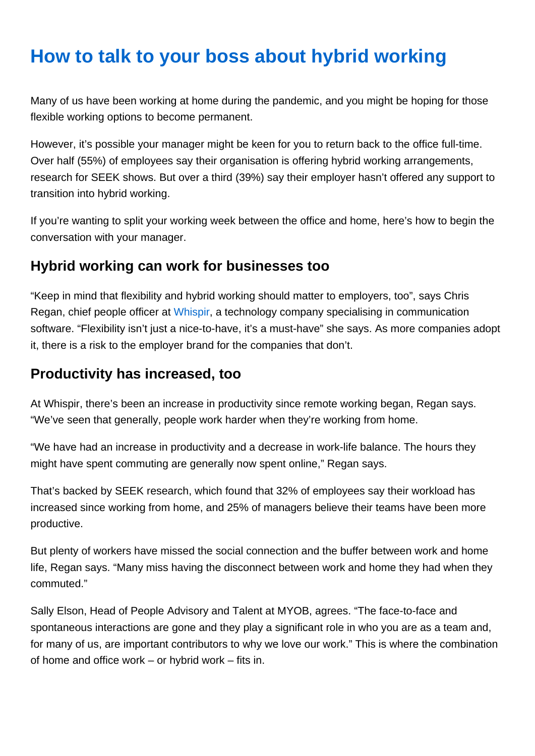# How to talk to your boss about hybrid working

Many of us have been working at home during the pandemic, and you might be hoping for those flexible working options to become permanent.

However, it's possible your manager might be keen for you to return back to the office full-time. Over half (55%) of employees say their organisation is offering hybrid working arrangements, research for SEEK shows. But over a third (39%) say their employer hasn't offered any support to transition into hybrid working.

If you're wanting to split your working week between the office and home, here's how to begin the conversation with your manager.

### Hybrid working can work for businesses too

"Keep in mind that flexibility and hybrid working should matter to employers, too", says Chris Regan, chief people officer at [Whispir](https://www.whispir.com/en-au/), a technology company specialising in communication software. "Flexibility isn't just a nice-to-have, it's a must-have" she says. As more companies adopt it, there is a risk to the employer brand for the companies that don't.

#### Productivity has increased, too

At Whispir, there's been an increase in productivity since remote working began, Regan says. "We've seen that generally, people work harder when they're working from home.

"We have had an increase in productivity and a decrease in work-life balance. The hours they might have spent commuting are generally now spent online," Regan says.

That's backed by SEEK research, which found that 32% of employees say their workload has increased since working from home, and 25% of managers believe their teams have been more productive.

But plenty of workers have missed the social connection and the buffer between work and home life, Regan says. "Many miss having the disconnect between work and home they had when they commuted."

Sally Elson, Head of People Advisory and Talent at MYOB, agrees. "The face-to-face and spontaneous interactions are gone and they play a significant role in who you are as a team and, for many of us, are important contributors to why we love our work." This is where the combination of home and office work – or hybrid work – fits in.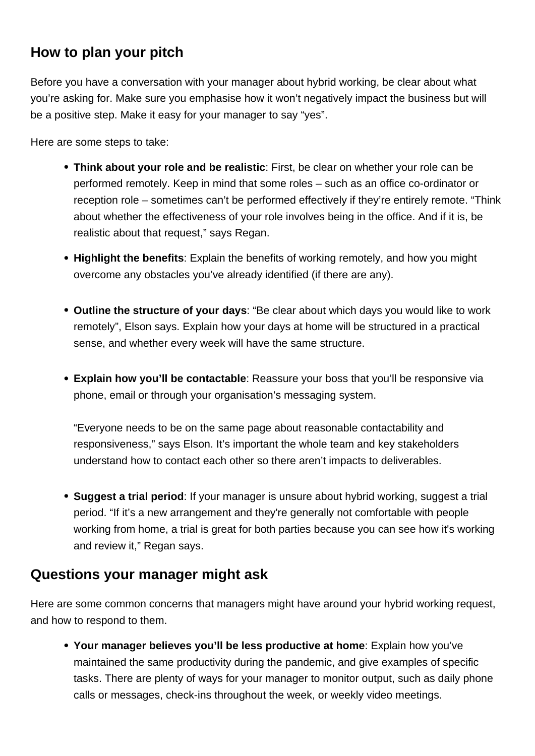## **How to plan your pitch**

Before you have a conversation with your manager about hybrid working, be clear about what you're asking for. Make sure you emphasise how it won't negatively impact the business but will be a positive step. Make it easy for your manager to say "yes".

Here are some steps to take:

- **Think about your role and be realistic**: First, be clear on whether your role can be performed remotely. Keep in mind that some roles – such as an office co-ordinator or reception role – sometimes can't be performed effectively if they're entirely remote. "Think about whether the effectiveness of your role involves being in the office. And if it is, be realistic about that request," says Regan.
- **Highlight the benefits**: Explain the benefits of working remotely, and how you might overcome any obstacles you've already identified (if there are any).
- **Outline the structure of your days**: "Be clear about which days you would like to work remotely", Elson says. Explain how your days at home will be structured in a practical sense, and whether every week will have the same structure.
- **Explain how you'll be contactable**: Reassure your boss that you'll be responsive via phone, email or through your organisation's messaging system.

"Everyone needs to be on the same page about reasonable contactability and responsiveness," says Elson. It's important the whole team and key stakeholders understand how to contact each other so there aren't impacts to deliverables.

**Suggest a trial period**: If your manager is unsure about hybrid working, suggest a trial period. "If it's a new arrangement and they're generally not comfortable with people working from home, a trial is great for both parties because you can see how it's working and review it," Regan says.

#### **Questions your manager might ask**

Here are some common concerns that managers might have around your hybrid working request, and how to respond to them.

**Your manager believes you'll be less productive at home**: Explain how you've maintained the same productivity during the pandemic, and give examples of specific tasks. There are plenty of ways for your manager to monitor output, such as daily phone calls or messages, check-ins throughout the week, or weekly video meetings.